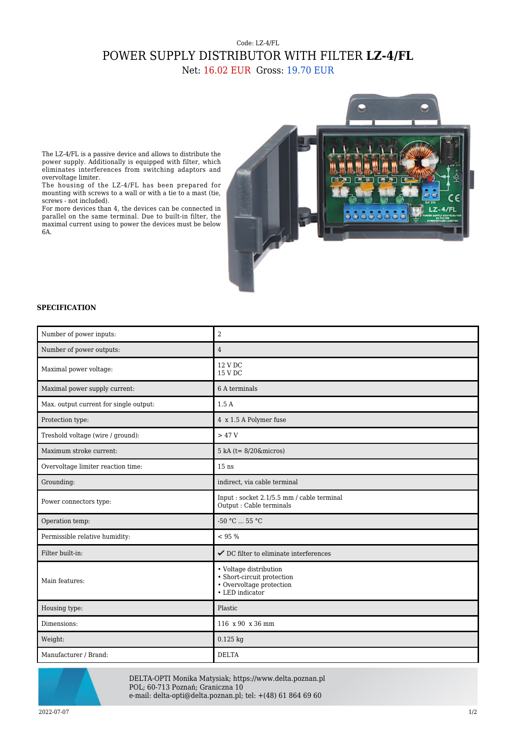## Code: LZ-4/FL POWER SUPPLY DISTRIBUTOR WITH FILTER **LZ-4/FL**

Net: 16.02 EUR Gross: 19.70 EUR

The LZ-4/FL is a passive device and allows to distribute the power supply. Additionally is equipped with filter, which eliminates interferences from switching adaptors and overvoltage limiter.

The housing of the LZ-4/FL has been prepared for mounting with screws to a wall or with a tie to a mast (tie, screws - not included).

For more devices than 4, the devices can be connected in parallel on the same terminal. Due to built-in filter, the maximal current using to power the devices must be below 6A.



## **SPECIFICATION**

| Number of power inputs:                | $\overline{2}$                                                                                      |
|----------------------------------------|-----------------------------------------------------------------------------------------------------|
| Number of power outputs:               | $\overline{4}$                                                                                      |
| Maximal power voltage:                 | 12 V DC<br>15 V DC                                                                                  |
| Maximal power supply current:          | 6 A terminals                                                                                       |
| Max. output current for single output: | 1.5A                                                                                                |
| Protection type:                       | 4 x 1.5 A Polymer fuse                                                                              |
| Treshold voltage (wire / ground):      | >47V                                                                                                |
| Maximum stroke current:                | $5 kA (t = 8/20 \& micros)$                                                                         |
| Overvoltage limiter reaction time:     | $15$ ns                                                                                             |
| Grounding:                             | indirect, via cable terminal                                                                        |
| Power connectors type:                 | Input: socket 2.1/5.5 mm / cable terminal<br>Output : Cable terminals                               |
| Operation temp:                        | $-50 °C$ 55 °C                                                                                      |
| Permissible relative humidity:         | < 95 %                                                                                              |
| Filter built-in:                       | $\checkmark$ DC filter to eliminate interferences                                                   |
| Main features:                         | • Voltage distribution<br>• Short-circuit protection<br>• Overvoltage protection<br>• LED indicator |
| Housing type:                          | Plastic                                                                                             |
| Dimensions:                            | 116 x 90 x 36 mm                                                                                    |
| Weight:                                | $0.125$ kg                                                                                          |
| Manufacturer / Brand:                  | <b>DELTA</b>                                                                                        |



DELTA-OPTI Monika Matysiak; https://www.delta.poznan.pl POL; 60-713 Poznań; Graniczna 10 e-mail: delta-opti@delta.poznan.pl; tel: +(48) 61 864 69 60